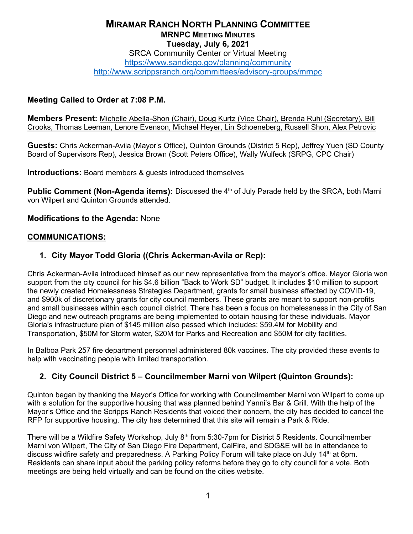#### **MIRAMAR RANCH NORTH PLANNING COMMITTEE MRNPC MEETING MINUTES Tuesday, July 6, 2021** SRCA Community Center or Virtual Meeting

<https://www.sandiego.gov/planning/community>

<http://www.scrippsranch.org/committees/advisory-groups/mrnpc>

### **Meeting Called to Order at 7:08 P.M.**

**Members Present:** Michelle Abella-Shon (Chair), Doug Kurtz (Vice Chair), Brenda Ruhl (Secretary), Bill Crooks, Thomas Leeman, Lenore Evenson, Michael Heyer, Lin Schoeneberg, Russell Shon, Alex Petrovic

**Guests:** Chris Ackerman-Avila (Mayor's Office), Quinton Grounds (District 5 Rep), Jeffrey Yuen (SD County Board of Supervisors Rep), Jessica Brown (Scott Peters Office), Wally Wulfeck (SRPG, CPC Chair)

**Introductions:** Board members & guests introduced themselves

**Public Comment (Non-Agenda items):** Discussed the 4<sup>th</sup> of July Parade held by the SRCA, both Marni von Wilpert and Quinton Grounds attended.

#### **Modifications to the Agenda:** None

#### **COMMUNICATIONS:**

### **1. City Mayor Todd Gloria ((Chris Ackerman-Avila or Rep):**

Chris Ackerman-Avila introduced himself as our new representative from the mayor's office. Mayor Gloria won support from the city council for his \$4.6 billion "Back to Work SD" budget. It includes \$10 million to support the newly created Homelessness Strategies Department, grants for small business affected by COVID-19, and \$900k of discretionary grants for city council members. These grants are meant to support non-profits and small businesses within each council district. There has been a focus on homelessness in the City of San Diego and new outreach programs are being implemented to obtain housing for these individuals. Mayor Gloria's infrastructure plan of \$145 million also passed which includes: \$59.4M for Mobility and Transportation, \$50M for Storm water, \$20M for Parks and Recreation and \$50M for city facilities.

In Balboa Park 257 fire department personnel administered 80k vaccines. The city provided these events to help with vaccinating people with limited transportation.

#### **2. City Council District 5 – Councilmember Marni von Wilpert (Quinton Grounds):**

Quinton began by thanking the Mayor's Office for working with Councilmember Marni von Wilpert to come up with a solution for the supportive housing that was planned behind Yanni's Bar & Grill. With the help of the Mayor's Office and the Scripps Ranch Residents that voiced their concern, the city has decided to cancel the RFP for supportive housing. The city has determined that this site will remain a Park & Ride.

There will be a Wildfire Safety Workshop, July 8<sup>th</sup> from 5:30-7pm for District 5 Residents. Councilmember Marni von Wilpert, The City of San Diego Fire Department, CalFire, and SDG&E will be in attendance to discuss wildfire safety and preparedness. A Parking Policy Forum will take place on July 14<sup>th</sup> at 6pm. Residents can share input about the parking policy reforms before they go to city council for a vote. Both meetings are being held virtually and can be found on the cities website.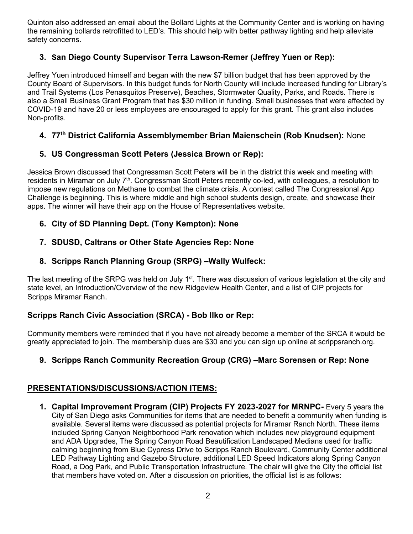Quinton also addressed an email about the Bollard Lights at the Community Center and is working on having the remaining bollards retrofitted to LED's. This should help with better pathway lighting and help alleviate safety concerns.

# **3. San Diego County Supervisor Terra Lawson-Remer (Jeffrey Yuen or Rep):**

Jeffrey Yuen introduced himself and began with the new \$7 billion budget that has been approved by the County Board of Supervisors. In this budget funds for North County will include increased funding for Library's and Trail Systems (Los Penasquitos Preserve), Beaches, Stormwater Quality, Parks, and Roads. There is also a Small Business Grant Program that has \$30 million in funding. Small businesses that were affected by COVID-19 and have 20 or less employees are encouraged to apply for this grant. This grant also includes Non-profits.

### **4. 77th District California Assemblymember Brian Maienschein (Rob Knudsen):** None

## **5. US Congressman Scott Peters (Jessica Brown or Rep):**

Jessica Brown discussed that Congressman Scott Peters will be in the district this week and meeting with residents in Miramar on July 7<sup>th</sup>. Congressman Scott Peters recently co-led, with colleagues, a resolution to impose new regulations on Methane to combat the climate crisis. A contest called The Congressional App Challenge is beginning. This is where middle and high school students design, create, and showcase their apps. The winner will have their app on the House of Representatives website.

### **6. City of SD Planning Dept. (Tony Kempton): None**

**7. SDUSD, Caltrans or Other State Agencies Rep: None**

### **8. Scripps Ranch Planning Group (SRPG) –Wally Wulfeck:**

The last meeting of the SRPG was held on July 1<sup>st</sup>. There was discussion of various legislation at the city and state level, an Introduction/Overview of the new Ridgeview Health Center, and a list of CIP projects for Scripps Miramar Ranch.

#### **Scripps Ranch Civic Association (SRCA) - Bob Ilko or Rep:**

Community members were reminded that if you have not already become a member of the SRCA it would be greatly appreciated to join. The membership dues are \$30 and you can sign up online at scrippsranch.org.

## **9. Scripps Ranch Community Recreation Group (CRG) –Marc Sorensen or Rep: None**

## **PRESENTATIONS/DISCUSSIONS/ACTION ITEMS:**

**1. Capital Improvement Program (CIP) Projects FY 2023-2027 for MRNPC-** Every 5 years the City of San Diego asks Communities for items that are needed to benefit a community when funding is available. Several items were discussed as potential projects for Miramar Ranch North. These items included Spring Canyon Neighborhood Park renovation which includes new playground equipment and ADA Upgrades, The Spring Canyon Road Beautification Landscaped Medians used for traffic calming beginning from Blue Cypress Drive to Scripps Ranch Boulevard, Community Center additional LED Pathway Lighting and Gazebo Structure, additional LED Speed Indicators along Spring Canyon Road, a Dog Park, and Public Transportation Infrastructure. The chair will give the City the official list that members have voted on. After a discussion on priorities, the official list is as follows: